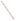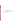### **Appendix A IDX Technologies Summary Test Report**

**NOTE: This document was prepared by IDX Technologies and is published as received. This document was not edited or verified by Battelle.**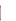# US EPA ARCHIVE DOCUMENT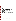### **ETV REPORT IDX-Technologies**

### **1. Introduction**

As we have reported in many occasions in the world that we have succeeded in the development of RIMMPA (Resonance Ionization with the Multi-Mirror system Photon Accumulation)-TOFMS. By the development of it, we have achieved the 2 color 2 photon resonance ionization of tetra to octa chlorinated DDs and DFs with selective soft ionization of PCDD's and PCDF's isomers.

Thus, the ETV for us is to verify the technical results on RIMMPA-TOFMS. We have adopted two countermeasures upon this current situation. The first countermeasure is to adopt an accumulation tube as a condenser for obtaining the high density sample gas and to use helium gas for desorbing it as carrier gas. The second is to adopt the fixed wavelength laser to make the size compact and to realize

easy operation and mobile-ability.

What we had achieved in the laboratory was to detect the PCDD's and PCDF's isomers of 2,3,4,7,8-PeCDF at 410 ppq sensitivity by changing the excitation wavelength and could detect only objective parent ion without any fragmentation.

 We haven't reached, however, the stage to detect the PCDD's and PCDF's isomers in the real gas. This is one of the purposes of this ETV tests for us to establish the method and verify the on-site and rapid analysis method in the real gas from boiler.

### **2. Target**

What we have targeted through ETV test this time was that after filtering, adsorbing and accumulating the exhausting gas into a TENAX column, desorption of PCDD's and PCDF's are carried under the specifically controlled temperature and then is loaded to RIMMPA-TOFMS with helium carrier gas. We aimed at the two kinds of analysis, one was the Congener analysis and the other was the Isomer analysis.

Here, we mean that the congeners analysis is to calculate the TEQ from the relation between the sum of the total ion signals of tetra to octa chlorinated DDs and DFs and that of the Method 23(M23). The sum of the total ion signals of tetra to octa chlorinated DDs and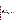DFs congener's ion is calculated as follows. Selecting and fixing an appropriate wavelength of excitation laser wavelength as 310.99nm, we can get all the tetra to octa chlorinated DDs and DFs congener's ion signals and sum up the amount of time variation. And the isomer analysis is to calculate the TEQ from the correlation between the total amount of target isomer's ion signal and that of M23 signals. Setting the excitation laser wavelength for the target isomer and getting the isomer signal and integrating it by time, we can get the total amount of target isomers.

### **3. Test circumstances**

 Terms: Sep. 12 2005 to Sep. 22 2005 Place: U.S. Environmental Protection Agency, Research Triangle Park Test facilities: A 2.94 MBtu/hr, 3-Pass Wetback Scotch Marine Package Boiler manufactured by Superior Boiler Works, Inc., (Details are in the ETV program report)

### **4. Test method**

The schematic diagram of sampling is shown in Fig.1 The sampling steps are briefly divided into next four steps.

### **4.1 Adsorption**

The exhausted gas flows in the Adsorption and Heat Desorption (AHD) unit from sampling port in flue gas duct heated at 160 degree C through sampling probe heated at 200 degree C, glass fiber filter and 5m heated sampling line (Teflon tube). At the AHD, PCDD's and PCDF's in the exhausted gas are adsorbed in the 105 degree C heated TENAX column. The exhausted gas is disposed lastly in APCS (Air Pollutant Control System) through Silica gel, NaOH solution and pump.

### **4.2 Helium Substitution**

To remove nitrogen, oxygen and low boiling point organic compounds that remain in TENAX column, helium gas of 120 degree C is substituted for the gases in TENAX column of 105 degree C for 5 minutes with 3L/min.

### **4.3 Desorption**

The column is heated up to 300 degree C after closing the entrance and exit of it. Keeping it for 10 minutes after the temperature rises up to 300 degree C, the objective gas in helium carrier gas is injected to RIMMPA-TOFMS at 200 degree C.

### **4.4 Analysis**

Analysis of congeners and isomers by RIMMPA-TOFMS are carried out.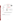

Fig.1 Schematic diagram of the sampling train, adsorption and heat desorption unit, and measurement by RIMMPA-TOFMS

### **5. Test conditions**

Chart 1 shows the test conditions of each day during ETV tests.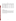Chart 1

| Test        | Sampling        |                                |         | <b>DXN-Desorption</b> |                                            | <b>Excitation Laser</b> |                             | <b>Ionization Laser</b> |
|-------------|-----------------|--------------------------------|---------|-----------------------|--------------------------------------------|-------------------------|-----------------------------|-------------------------|
|             |                 | Number time [min] rate [L/min] |         |                       | volume [L] temp. [deg.C] flow rate [L/min] |                         | Energy [mJ] Wavelength [nm] | Energy [mJ]             |
| 9/12        | 240             | 2.739                          | 657.36  | 300                   |                                            |                         | 310.99                      | 0.1                     |
| 9/14        | 90 <sub>0</sub> | 4.85                           | 436.5   | 280                   |                                            |                         | 310.99                      | 0.1                     |
| $9/16 - #1$ | 70              | 17.083                         | 1195.81 | 300                   |                                            | 3                       | 310.99                      | 0.1                     |
| $9/16 - 42$ | 90 <sub>1</sub> | 16.562                         | 1490.58 | 300                   |                                            | 3                       | 310.99                      | 0.1                     |
| 9/19        | 240             | 15.19                          | 3645.6  | 300                   |                                            | 3                       | 315.83                      | 0.1                     |
| $9/20 - #1$ | 120             | 13.76                          | 1651.2  | 300                   | 0.5                                        | 3                       | 310.19                      | 0.5                     |
| $9/20 - 42$ | 240             | 12.51                          | 3002.4  | 300                   | 0.5                                        | 3                       | 310.19                      | 0.5                     |
| $9/21 - #1$ | 120             | 17.19                          | 2062.8  | 300                   | 0.5                                        | 3                       | 310.19                      | 0.5                     |
| $9/21 - #2$ | 200             | 19.3                           | 3860    | 300                   | 0.5                                        | 3                       | 310.19                      | 0.5                     |
| $9/22 - #1$ | 15              | 16.19                          | 242.85  | 300                   | 0.5                                        | 3                       | 310.19                      | 0.5                     |
| $9/22 - 42$ | 15              | 16.33                          | 244.95  | 200-300               | 0.5                                        | 3                       | 310.19                      | 0.5                     |

### **6. Test results**

### **6.1 Congener Analysis Test Results**

Chart 2 is the results of our ETV tests. The Test Number 9/19 is the result of isomer analysis and the other all are congener analysis. The values in the chart show the signal strengths of the dioxin congeners that RIMMPA-TOFMS detected. Although RIMMPA-TOFMS has succeeded in congener identification of several high-chlorinated dioxins, RIMMPA-TOFMS has not succeeded in determination of isomers due to the bad influence of impurities that exist close to dioxins in mass numbers.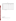| Chart 2 |  |
|---------|--|
|---------|--|

|              | 9/12 | 9/14 | $9/16 - #1$ 9/16-#2 | 9/19 |     |      | $9/20 - 41$ 9/20- $42$ 9/21- $41$ 9/21- $42$ 9/22- $41$ 9/22- $42$ |  |
|--------------|------|------|---------------------|------|-----|------|--------------------------------------------------------------------|--|
| <b>TeCDD</b> |      |      |                     |      | 7.1 | 12.1 |                                                                    |  |
| PeCDD        |      |      |                     |      | 6.1 | 5.1  |                                                                    |  |
| <b>HxCDD</b> |      |      |                     |      |     |      |                                                                    |  |
| HpCDD        |      |      |                     |      |     |      |                                                                    |  |
| OCDD         |      |      |                     |      |     |      |                                                                    |  |
| <b>TeCDF</b> | 1.7  |      |                     |      |     |      |                                                                    |  |
|              |      |      |                     |      |     |      |                                                                    |  |
| PeCDF        |      |      |                     |      |     |      |                                                                    |  |
| <b>HxCDF</b> |      |      |                     |      |     |      |                                                                    |  |
| <b>HpCDF</b> |      |      |                     |      |     |      |                                                                    |  |
| <b>OCDF</b>  | 1.3  |      |                     |      |     |      |                                                                    |  |

Blank=Not identified

### **6.2 Test result details**

### **First half**

The chart 3 below shows the results from Sep. 12 to Sep. 16.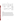|                     | 9/12                                                                                                  | 9/13                                                                         | 9/14                                                         | 9/15                                                        | 9/16                                                                                                                                                    |
|---------------------|-------------------------------------------------------------------------------------------------------|------------------------------------------------------------------------------|--------------------------------------------------------------|-------------------------------------------------------------|---------------------------------------------------------------------------------------------------------------------------------------------------------|
| Sample transfer     | 5m Teflon tube                                                                                        |                                                                              | 5m Teflon tube                                               |                                                             | 5m Teflon tube                                                                                                                                          |
| Adsorption          | 105 degree C                                                                                          | Pipe cleaning<br>by solvent                                                  | 105 degree C                                                 | Brand new pipe<br><b>TENAX</b> cleaning                     | 105 degree C                                                                                                                                            |
| Helium substitution | 3L/min, 5min                                                                                          | AHD unit cleaning                                                            | 3L/min, 5min                                                 | change of glass wool<br>Improvement<br>sampling unit        | 3L/min, 5min                                                                                                                                            |
| Desorption          | 300 degree C                                                                                          |                                                                              | 300 degree C                                                 |                                                             | 300 degree C                                                                                                                                            |
| <b>RIMMPA-TOFMS</b> | 310.99nm, 3mJ<br>213nm, 0.1mJ                                                                         | New HTPD                                                                     | 310.99nm, 3mJ<br>213nm, 0.1mJ                                | Cleaning and change<br><b>HTPD</b>                          | 310.99nm, 3mJ<br>213nm. 0.1mJ                                                                                                                           |
| Others              | Preheating of He gas<br>200 degree C<br>Congener analysis                                             |                                                                              | preheating of He gas<br>200 degreeC<br>Congener analysis     |                                                             | New He bomb<br>Insert activate charcoal<br>between TENAX column<br>and He bonbe<br>No preheating of He gas<br>Congener analysis                         |
| Results             | Fig.2-12<br>Lots of impurity<br><b>TENAX</b> decomposition<br>Impossible to identify<br>and determine | Abherence of TENAX<br>in inside of HTPD<br>Adherence of TENAX<br>in the pipe | Fig13<br>same as 9/12<br>Fig14, 15<br>stains in the AHD unit | Higher volume of<br>sampling rate by<br>changing glass wool | Fig17, 18<br>spectrum quenching of<br>m/z320, 345<br>No changes in the others<br>Change from Helium to N <sub>2</sub><br>for cleaning<br>Chamber baking |

### Chart 3

### **Sep. 12 2005**

Figure 2 (Test number: 9/12) shows the mass spectrum of 270 to 500 measured by RIMMPA-TOFMS. The ion signal was obtained by integrated value of 3 minutes measurement. Although we recognized the PCDD's and PCDF's peaks, it was tough to identify and determine PCDD's and PCDF's because the spectra of other impurities overlapped the peak signals of the PCDD's and PCDF's. As indicated a and b in Fig.2, we detected the spectrum of impurities that adhere to the TENAX, the mass number of which increase by m/z 75 regularly, and the spectrum obstruct the measurements of PCDD's and PCDF's. It was thought as impurity in TENAX and it disturbs the PCDD's and PCDF's spectra.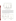

Fig.2 Mass spectrum (Test number: 9/12)

Figures 3 to 12 are the mass spectra which are expanded near PCDD's and PCDF's congeners. The indicated values are relative intensity of each peak normalized by M+2 ion signal in the case of TeCDF or M+4 ion signal in the case of OCDF. We recognized some differences in the intensity ratio between the observed one and that estimated from existence ratio of chlorine isotope. In the case of TeCDF, the observed ratios are 50.6/100 and 60.5/100, while the estimated ratios are 76/100 and 49/100. We assume that these differences might be caused by the spectra overlapping.

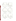

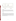

### **Sep. 13 2005**

To avoid the stains in the AHD unit, pipes and High Temperature Pulsed gas Device (HTPD), HTPD was changed to new one. We blow off TENAX in the AHD unit by the compressed air. And we also cleaned pipes between the AHD unit by both of compressed air and solvent.

### **Sep. 14 2005**

Figure 13 is the mass spectrum (mass number: 270 to 500) measured by RIMMPA-TOFMS. The ion signals are obtained by integrated value of 3 minutes measurement. The signals of impurity, however, did not disappear even after cleaning and changing of HTPD to new one. It was tough to identify and determine PCDD's and PCDF's because the spectra of the other impurity overlapped the peak signal of the PCDD's and PCDF's although we recognized the PCDD's and PCDF's peaks in our results.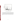

Fig.13 Mass spectrum (Test number: 9/14)

Figure 14 and 15 show the two cases of helium gas pass through the AHD unit and the case of not passes through the unit. From these results, we realized that the inside of the AHD unit has stained, so that we newly created another way of sampling without using the unit. (Refer Fig.16). And we cleaned HTPD and changed the parts of the units. Also we cleaned TENAX as well at 280 degree C for 16 hours assuming that TENAX itself has its stain.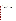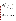

Sample Nozzle

Fig.16 Schematic diagram of the sampling train, adsorption and heat desorption by single condenser, and measurement by RIMMPA-TOFMS

### **Sep. 16 2005**

We changed the glass wool to raise the sampling rate, and changed a helium cylinder to a new one as well. And we inserted the activated charcoal filter between helium cylinder and TENAX column to avoid impurity in the helium gas.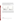Figure 17(Test number: 9/16-#1), Fig.18 (Test number: 9/16-#2) are the mass spectra (mass number: 270 to 500) measured by RIMMPA-TOFMS and the mass spectra are obtained by integrated value of 3 minutes measurement. If we compare with the Fig.14, the ion signal of mass number 320 and 345 are decreased. However, we could not identify and determine the PCDD's and PCDF's due to the peaks of impurity.



Fig.17 Mass spectrum(Test number:9/16-#1) Fig.18 Mass spectrum(Test number: 9/16-#2)

We changed the cleaning solvents from helium to nitrogen and cleaned HTPD again at 200 degree C for a day. Baking in the chamber was also done for a day. Another way that we did was to change to a 3/4 inch tube that doesn't require seal tape because we assumed that the exhausted gas from seal tape might cause the noise in the spectra of PCDD's and PCDF's.

### **Second half**

The chart 4 below shows the summary of the results of sep. 19 thru Sep.22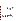|                     | 9/19                                                                                                                                                                                                              | 9/20                                                                                                                                        | 9/21                                                                                                                               | 9/22                                                                                                                                                                                                |
|---------------------|-------------------------------------------------------------------------------------------------------------------------------------------------------------------------------------------------------------------|---------------------------------------------------------------------------------------------------------------------------------------------|------------------------------------------------------------------------------------------------------------------------------------|-----------------------------------------------------------------------------------------------------------------------------------------------------------------------------------------------------|
| Sample transfer     | 5m Teflon tube                                                                                                                                                                                                    | 5m Teflon tube                                                                                                                              | No use                                                                                                                             | No use                                                                                                                                                                                              |
| Adsorption          | 105 degree C                                                                                                                                                                                                      | 105 degree C                                                                                                                                | 105 degree C                                                                                                                       | 105 degree C                                                                                                                                                                                        |
| Helium substitution | 3L/min, 5min                                                                                                                                                                                                      | 3L/min. 5min                                                                                                                                | 3L/min, 5min                                                                                                                       | 3L/min, 5min                                                                                                                                                                                        |
| Desorption          | 300 degree C                                                                                                                                                                                                      | 300 degree C                                                                                                                                | 300 degree C                                                                                                                       | 300 degree C                                                                                                                                                                                        |
| <b>RIMMPA-TOFMS</b> | 315.83nm, 3mJ<br>213nm, 0.1mJ                                                                                                                                                                                     | 310.19nm, 3mJ<br>213nm, 0.5mJ<br>Change to improve the sensitivity                                                                          | 310.19nm, 3mJ<br>213nm, 0.5mJ                                                                                                      | 310.19nm, 3mJ<br>213nm, 0.5mJ                                                                                                                                                                       |
| Others              | No preheating of He gas<br>Isomer analysis<br>$(2,3,4,7,8-PeCDF)$<br>Change the 3/4 inch tube                                                                                                                     | No preheating of He gas<br>Leak check of sampling line<br>Doubled the volume the second<br>sampling of first volume<br>Congener analysis    | No preheating of He gas<br>Congener analysis<br>Set TENAX column directly<br>after the filter                                      | No preheating of He gas<br>Congener analysis<br>Set TENAX column directly<br>after the filter                                                                                                       |
| <b>Results</b>      | Fig. 19<br>Spectrum quenching of<br>m/z395, 410<br>Spectrum decreasing of<br>m/z470, 490<br>Fig.20<br>Detect the peak signals in<br>the m/z=338,340 and 342<br>2,3,4,7,8-PeCDF isomer is<br>imposible to identify | Fig.21-32<br>TeCDD. PeCDD is<br>posible to identify<br>No detection of HpCDD,<br>OCDF, OCDD<br>Other congeners are<br>imposible to identify | Fig. 34-45<br>Same as previous day<br>There is a possibility<br>TENAX was broken<br>through due to the too<br>much sampling amount | Fig. 46-56<br>m/z278 signal increased<br>Congeners are<br>imposible to identify<br>Detection of mass spectrum<br>m/z260, 262<br>Fig.57<br>The flow rate 0.5 to 3 L/min<br>the ion signals increased |

### Chart 4

### **Sep.19 2005**

Though many kinds of material are ionized because we use the shorter wavelength of the excitation laser in the congener analysis, the only selected isomers would be ionized in the isomer analysis because the longer wavelength of excitation laser is applied.

Figure 19 (Test number: 9/19) is the mass spectrum (mass number: 270 to 500) when we carried out the isomer analysis of 2,3,4,7,8-PeCDF. The ion signal is integrated value for 3 minutes measurement. The peak signals of mass number 395, 410 quenched, 470 and 490 decreased and peak signal of mass number 362 was increased. These materials are resonantly ionized by the excitation laser wavelength of 2,3,4,7,8-PeCDF.

Figure 20 is the mass spectrum near the 2,3,4,7,8-PeCDF. Although there exist the peak signals in the m/z=338, 340 and 342, we could not identify the 2,3,4,7,8-PeCDF isomer because the ionization intensity is different from the ionization intensity ratio that can be estimated by the isotope existence ratio.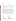



### **Sep.20 2005**

We changed from isomer analysis to congener analysis because we could not identify 2,3,4,7,8-PeCDF in isomer analysis. We did leak check of sampling port before tests. To rise up the sensitivity, we changed the excitation laser wavelength to 310.19nm and ionization laser energy to 0.5 mJ because we thought the PCDD's and PCDF's density was too low to detect. We tested whether the peak signals become doubled when we sample the double volume as first sampling volume.

Figure 21 (Test number: 9/20-#1), Fig.22 (Test number: 9/20-#2) are the mass spectra (mass number: 270 to 500) measured by RIMMPA-TOFMS and the mass spectra are obtained by integrated value of 3 minutes measurement. The second sampling volume was double of the first one, however, the signals in the second sampling were lower than the first one.

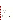Figures 23 to 32 are the mass spectra which are expanded the near parent-ion spectrum of the tetra to octa chlorinated DDs and DFs. The indicated values are relative intensity of each peak normalized by M+2 ion signal in the case of TeCDD, PeCDD. We recognized some differences in the intensity ratio between the observed one and that estimated from existence ratio of chlorine isotope. In the case of TeCDD, the observed ratios are 71.2/100 and 57.6/100, while the estimated ratios are 77.4/100 and 48.7/100. But no detection was made on HpCDD, OCDF and OCDD or of the other congeners.

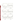## US EPA ARCHIVE DOCUMENT

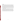### **Sep.21 2005**

Knowing the fact that PCDD's and PCDF's are decreased to 1/2 during the gas moves 30cm in a 1/4 inch size Teflon tube, and that if a Teflon tube is heated at 200 degrees C, out gas will occur and PCDD's and PCDF's will be denatured, the 5m heated sampling line (Teflon tube) prepared before the experiment was removed. So the TENAX column was set directly after the filter of filter oven (Fig.33). After sampling, the temperature of the TENAX column was cooled down from 105 degree C and took it out from Filter Oven. And bringing it to the site of RIMMPA-TOFMS and going into the steps of helium substitution, desorption and analysis were curried out.

 Figure 34 (Test number: 9/21-#1), Fig.35 (Test number: 9/21-#2) are the mass spectra (mass number: 270 to 500) measured by RIMMPA-TOFMS and the mass spectra are obtained by integrated value of 3 minutes measurement. The total trend of the results of no-use of Teflon tube was not different from the case of use of it. The second sampling volume was doubled as the previous day and the signals of impurity were decreased on this day. We decided it had break through since there are too many amounts of samplings.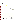

Fig.33 Schematic diagram of the sampling train, with single condenser, connected to filter directly, and measurement by RIMMPA-TOFMS



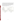Figures 36 to 45 are the mass spectra which are expanded near parent-ion spectrum of the tetra to octa chlorinated DDs and DFs. The indicated values are relative intensity of each peak normalized by M+2 ion signal in the case of TeCDD, PeCDD. We recognized some differences in the intensity ratio between the observed one and that estimated from existence ratio of chlorine isotope. In the case of TeCDD the observed ratios are 67.2/100 and 38.8/100, while the estimated ratios are 77.4/100 and 48.7/100. But the other congeners were impossible to identify.

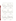## US EPA ARCHIVE DOCUMENT

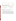

### **Sep.22 2005**

To avoid the break through, we reduced the TENAX volume to 1 g and for the second sampling 2.5g and the volume of sampling itself were reduced.

Figure 46(Test number: 9/22-#1) is the mass spectrum (mass number: 270 to 500) measured by RIMMPA-TOFMS and the mass spectrum was obtained by integrated value of 3 minute measurements. Although the sampling volume was 1/8 of the previous day, the ion signals of mass number 278 and 280 were increased, and the other signals are decreased. We also measured the lower mass region from 250 to 270 and we recognized the spectra in mass number 260 and 262. It was assumed that the PAH or chlorinated PAH from boiler.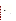

Fig.46 Mass spectrum (Test number:9/22-#1)

Figures 47 to 56 are the mass spectra which are expanded near parent-ion spectrum of the tetra to octa chlorinated DDs and DFs. The signals of impurity were decreased because the sampling volume was decreased and also the tetra to octa chlorinated DDs and DFs mass signals are decreased and we could not identify it nor determinate it.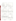### **US EPA ARCHIVE DOCUMENT**

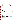

It is because the some absorbed materials in TENAX were remained due to the low flow rate of helium gas.

Figure 57 is the mass spectrum obtained by RIMMPA-TOMS in the case of increasing helium flow rate to 3 L/min after the measurement end of Test number: 9/22-#2. Comparing to the data of 0.5 L/min, the ion signals increased. We thought the sample remained in the TENAX column not being pushed out.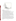



### **7. Conclusion**

What we have performed this time through the test is

- 1. We straggled for adjusting the Adsorption and Heated Desorption.
- 2. It has taken us much time to get rid of unexpected occurrence of PAH & Poly-Chlorinated PAH that caused from Naphthalene Cu to generate Dioxin.
- 3. This PC-PAH causes the damages to break the congener ratio which is essential to identification of PCDDs/PCDFs because they overlap with those of PCDDs/PCDFs.

Even under this situation, we tried two types of analysis of congeners and isomers. In the congener analysis, the peaks detected in the vicinity of mass of TeCDF, TeCDD, PeCDD, and OCDF were able to be identified. However, it was difficult to identify other

congeners because PAH and chlorinated PAH contained in exhaust gas came in succession with spectra of PCDD's and PCDF's. With regard to the results of PAH or chlorinated PAH that we have got in the experiment, are shown in chart 5.

In the case of isomer analysis 2,3,4,7,8-PeCDF, we detected mass peaks in the mass number 338, 340 and 342. It was tough however, to identify and to measure because the intensity ratio of the isotopes 338, 340, 342 observed is different from the signal calculated by the existence ratio. It was not possible to identify the isotope signals of 2, 3, 4, 7, 8- PeCDF, because the mass spectra of impurities (PAH and chlorinated PAH etc.) that existed in the mass neighborhood of 2, 3, 4, 7, 8- PeCDF came in succession, and detection was obstructed.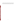Through this ETV test this time, we realized that the toughness in the real gas but at the same time we learned many things and eventually we have to the stage to convince that we are very close to be able to detect the isomer analysis in real gas in the very near future.